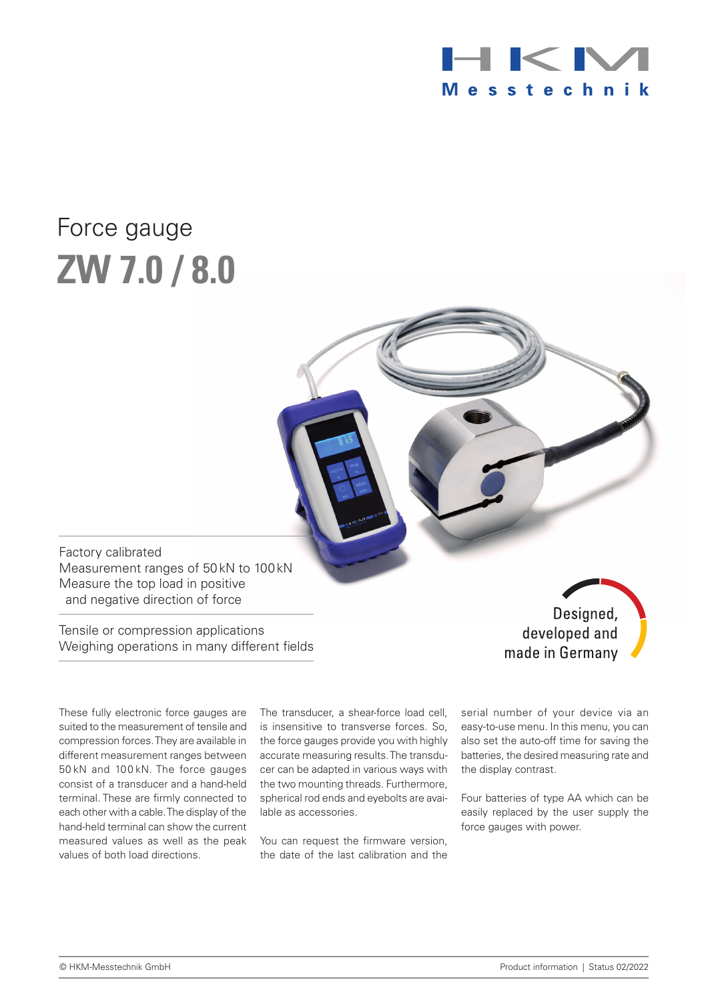

# Force gauge **ZW 7.0 / 8.0**

Factory calibrated Measurement ranges of 50kN to 100kN Measure the top load in positive and negative direction of force

Tensile or compression applications Weighing operations in many different fields

Designed, developed and made in Germany

These fully electronic force gauges are suited to the measurement of tensile and compression forces. They are available in different measurement ranges between 50 kN and 100 kN. The force gauges consist of a transducer and a hand-held terminal. These are firmly connected to each other with a cable. The display of the hand-held terminal can show the current measured values as well as the peak values of both load directions.

The transducer, a shear-force load cell, is insensitive to transverse forces. So, the force gauges provide you with highly accurate measuring results. The transducer can be adapted in various ways with the two mounting threads. Furthermore, spherical rod ends and eyebolts are available as accessories.

You can request the firmware version, the date of the last calibration and the serial number of your device via an easy-to-use menu. In this menu, you can also set the auto-off time for saving the batteries, the desired measuring rate and the display contrast.

Four batteries of type AA which can be easily replaced by the user supply the force gauges with power.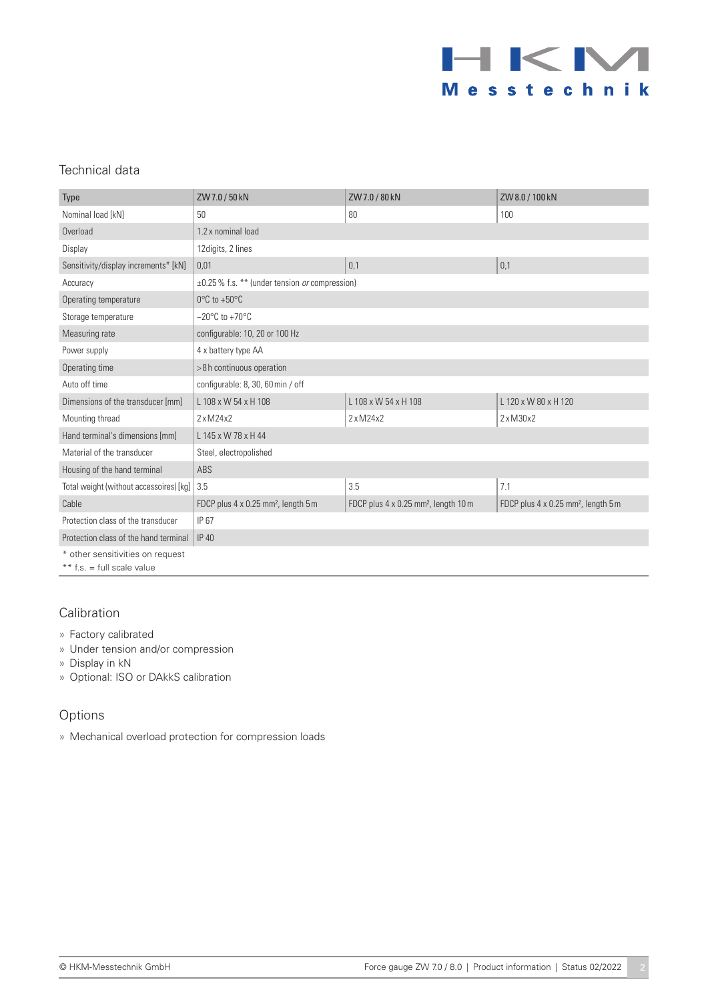

### Technical data

| Type                                    | ZW 7.0 / 50 kN                                             | ZW7.0 / 80 kN                                    | ZW8.0 / 100 kN                                  |
|-----------------------------------------|------------------------------------------------------------|--------------------------------------------------|-------------------------------------------------|
| Nominal load [kN]                       | 50                                                         | 80                                               | 100                                             |
| Overload                                | 1.2 x nominal load                                         |                                                  |                                                 |
| Display                                 | 12 digits, 2 lines                                         |                                                  |                                                 |
| Sensitivity/display increments* [kN]    | 0,01                                                       | 0,1                                              | 0,1                                             |
| Accuracy                                | $\pm 0.25$ % f.s. ** (under tension <i>or</i> compression) |                                                  |                                                 |
| Operating temperature                   | $0^{\circ}$ C to +50 $^{\circ}$ C                          |                                                  |                                                 |
| Storage temperature                     | $-20^{\circ}$ C to +70 $^{\circ}$ C                        |                                                  |                                                 |
| Measuring rate                          | configurable: 10, 20 or 100 Hz                             |                                                  |                                                 |
| Power supply                            | 4 x battery type AA                                        |                                                  |                                                 |
| Operating time                          | >8h continuous operation                                   |                                                  |                                                 |
| Auto off time                           | configurable: 8, 30, 60 min / off                          |                                                  |                                                 |
| Dimensions of the transducer [mm]       | L 108 x W 54 x H 108                                       | L 108 x W 54 x H 108                             | L 120 x W 80 x H 120                            |
| Mounting thread                         | $2 \times M24 \times 2$                                    | $2 \times M24 \times 2$                          | $2 \times M30 \times 2$                         |
| Hand terminal's dimensions [mm]         | L 145 x W 78 x H 44                                        |                                                  |                                                 |
| Material of the transducer              | Steel, electropolished                                     |                                                  |                                                 |
| Housing of the hand terminal            | ABS                                                        |                                                  |                                                 |
| Total weight (without accessoires) [kg] | 3.5                                                        | 3.5                                              | 7.1                                             |
| Cable                                   | FDCP plus 4 x 0.25 mm <sup>2</sup> , length 5 m            | FDCP plus 4 x 0.25 mm <sup>2</sup> , length 10 m | FDCP plus 4 x 0.25 mm <sup>2</sup> , length 5 m |
| Protection class of the transducer      | IP 67                                                      |                                                  |                                                 |
| Protection class of the hand terminal   | <b>IP 40</b>                                               |                                                  |                                                 |
| * other sensitivities on request        |                                                            |                                                  |                                                 |
| ** $f.s. = full scale value$            |                                                            |                                                  |                                                 |

Calibration

- » Factory calibrated
- » Under tension and/or compression
- » Display in kN

» Optional: ISO or DAkkS calibration

#### Options

» Mechanical overload protection for compression loads